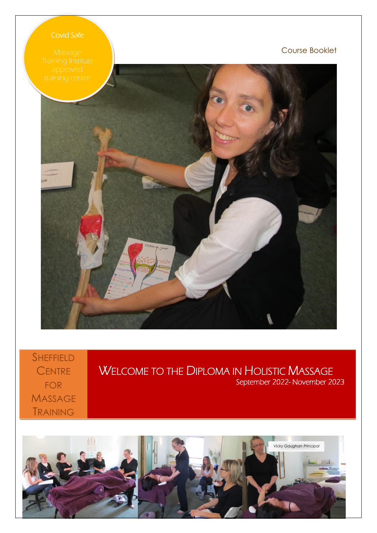# Covid Safe

Course Booklet



**SHEFFIELD** CENTRE FOR **MASSAGE** TRAINING

WELCOME TO THE DIPLOMA IN HOLISTIC MASSAGE September 2022- November 2023

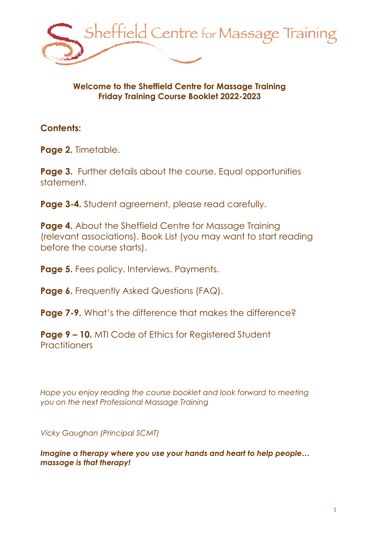

# **Welcome to the Sheffield Centre for Massage Training Friday Training Course Booklet 2022-2023**

# **Contents:**

Page 2. Timetable.

**Page 3.** Further details about the course. Equal opportunities statement.

**Page 3-4.** Student agreement, please read carefully.

**Page 4.** About the Sheffield Centre for Massage Training (relevant associations). Book List (you may want to start reading before the course starts).

**Page 5.** Fees policy. Interviews. Payments.

**Page 6.** Frequently Asked Questions (FAQ).

**Page 7-9.** What's the difference that makes the difference?

**Page 9 – 10.** MTI Code of Ethics for Registered Student **Practitioners** 

*Hope you enjoy reading the course booklet and look forward to meeting you on the next Professional Massage Training*

*Vicky Gaughan (Principal SCMT)*

*Imagine a therapy where you use your hands and heart to help people... massage is that therapy!*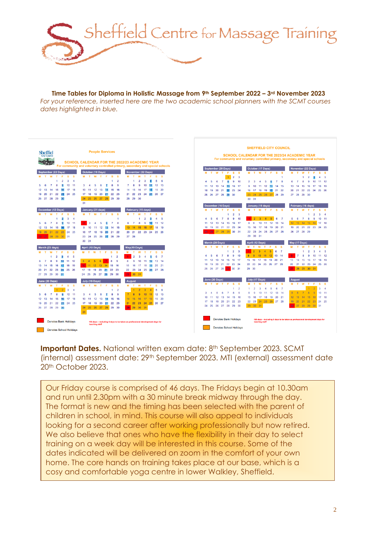

**Time Tables for Diploma in Holistic Massage from 9th September 2022 – 3rd November 2023** *For your reference, inserted here are the two academic school planners with the SCMT courses dates highlighted in blue.*



**Important Dates.** National written exam date: 8<sup>th</sup> September 2023. SCMT (internal) assessment date: 29th September 2023. MTI (external) assessment date 20th October 2023.

Our Friday course is comprised of 46 days. The Fridays begin at 10.30am and run until 2.30pm with a 30 minute break midway through the day. The format is new and the timing has been selected with the parent of children in school, in mind. This course will also appeal to individuals looking for a second career after working professionally but now retired. We also believe that ones who have the flexibility in their day to select training on a week day will be interested in this course. Some of the dates indicated will be delivered on zoom in the comfort of your own home. The core hands on training takes place at our base, which is a cosy and comfortable yoga centre in lower Walkley, Sheffield.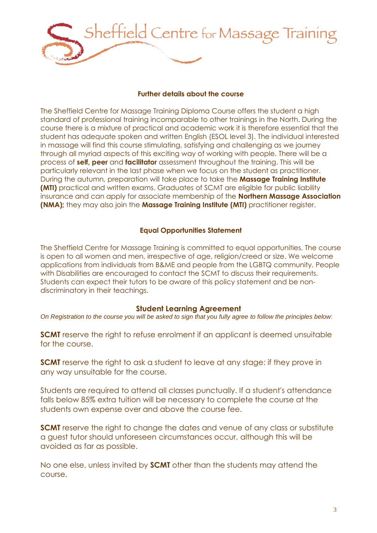

#### **Further details about the course**

The Sheffield Centre for Massage Training Diploma Course offers the student a high standard of professional training incomparable to other trainings in the North. During the course there is a mixture of practical and academic work it is therefore essential that the student has adequate spoken and written English (ESOL level 3). The individual interested in massage will find this course stimulating, satisfying and challenging as we journey through all myriad aspects of this exciting way of working with people. There will be a process of **self, peer** and **facilitator** assessment throughout the training. This will be particularly relevant in the last phase when we focus on the student as practitioner. During the autumn, preparation will take place to take the **Massage Training Institute (MTI)** practical and written exams. Graduates of SCMT are eligible for public liability insurance and can apply for associate membership of the **Northern Massage Association (NMA);** they may also join the **Massage Training Institute (MTI)** practitioner register.

# **Equal Opportunities Statement**

The Sheffield Centre for Massage Training is committed to equal opportunities. The course is open to all women and men, irrespective of age, religion/creed or size. We welcome applications from individuals from B&ME and people from the LGBTQ community. People with Disabilities are encouraged to contact the SCMT to discuss their requirements. Students can expect their tutors to be aware of this policy statement and be nondiscriminatory in their teachings.

#### **Student Learning Agreement**

*On Registration to the course you will be asked to sign that you fully agree to follow the principles below*:

**SCMT** reserve the right to refuse enrolment if an applicant is deemed unsuitable for the course.

**SCMT** reserve the right to ask a student to leave at any stage: if they prove in any way unsuitable for the course.

Students are required to attend all classes punctually. If a student's attendance falls below 85% extra tuition will be necessary to complete the course at the students own expense over and above the course fee.

**SCMT** reserve the right to change the dates and venue of any class or substitute a guest tutor should unforeseen circumstances occur, although this will be avoided as far as possible.

No one else, unless invited by **SCMT** other than the students may attend the course.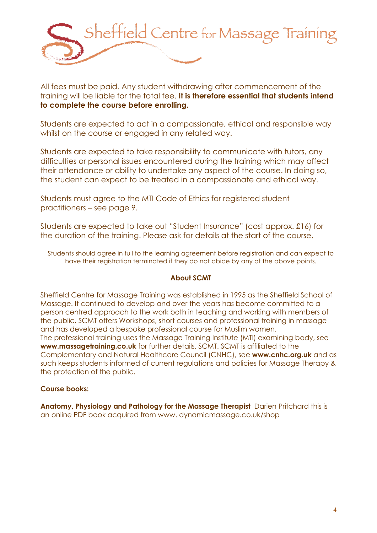

All fees must be paid. Any student withdrawing after commencement of the training will be liable for the total fee. **It is therefore essential that students intend to complete the course before enrolling.**

Students are expected to act in a compassionate, ethical and responsible way whilst on the course or engaged in any related way.

Students are expected to take responsibility to communicate with tutors, any difficulties or personal issues encountered during the training which may affect their attendance or ability to undertake any aspect of the course. In doing so, the student can expect to be treated in a compassionate and ethical way.

Students must agree to the MTI Code of Ethics for registered student practitioners – see page 9.

Students are expected to take out "Student Insurance" (cost approx. £16) for the duration of the training. Please ask for details at the start of the course.

Students should agree in full to the learning agreement before registration and can expect to have their registration terminated if they do not abide by any of the above points.

#### **About SCMT**

Sheffield Centre for Massage Training was established in 1995 as the Sheffield School of Massage. It continued to develop and over the years has become committed to a person centred approach to the work both in teaching and working with members of the public. SCMT offers Workshops, short courses and professional training in massage and has developed a bespoke professional course for Muslim women. The professional training uses the Massage Training Institute (MTI) examining body, see **www.massagetraining.co.uk** for further details. SCMT. SCMT is affiliated to the Complementary and Natural Healthcare Council (CNHC), see **www.cnhc.org.uk** and as such keeps students informed of current regulations and policies for Massage Therapy & the protection of the public.

#### **Course books:**

**Anatomy, Physiology and Pathology for the Massage Therapist** [Darien Pritchard](https://www.amazon.co.uk/s/ref=dp_byline_sr_book_1?ie=UTF8&text=Darien+Pritchard&search-alias=books-uk&field-author=Darien+Pritchard&sort=relevancerank) this is an online PDF book acquired from www. dynamicmassage.co.uk/shop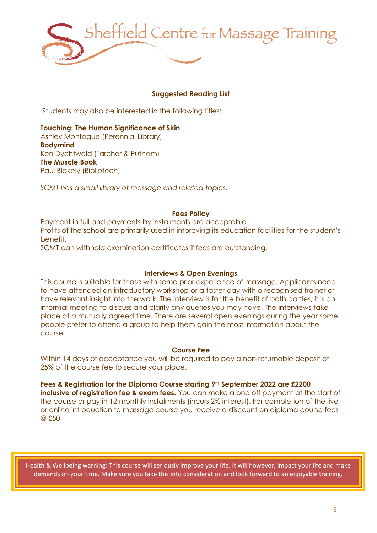

# **Suggested Reading List**

Students may also be interested in the following titles:

#### **Touching: The Human Significance of Skin** Ashley Montague (Perennial Library)

**Bodymind** Ken Dychtwald (Tarcher & Putnam) **The Muscle Book** Paul Blakely (Bibliotech)

*SCMT has a small library of massage and related topics.*

#### **Fees Policy**

Payment in full and payments by instalments are acceptable. Profits of the school are primarily used in improving its education facilities for the student's benefit.

SCMT can withhold examination certificates if fees are outstanding.

#### **Interviews & Open Evenings**

This course is suitable for those with some prior experience of massage. Applicants need to have attended an introductory workshop or a taster day with a recognised trainer or have relevant insight into the work. The interview is for the benefit of both parties, it is an informal meeting to discuss and clarify any queries you may have. The interviews take place at a mutually agreed time. There are several open evenings during the year some people prefer to attend a group to help them gain the most information about the course.

#### **Course Fee**

Within 14 days of acceptance you will be required to pay a non-returnable deposit of 25% of the course fee to secure your place.

**Fees & Registration for the Diploma Course starting 9th September 2022 are £2200 inclusive of registration fee & exam fees.** You can make a one off payment at the start of the course or pay in 12 monthly instalments (incurs 2% interest). For completion of the live or online introduction to massage course you receive a discount on diploma course fees @ £50

Health & Wellbeing warning: This course will seriously improve your life. It will however, impact your life and make demands on your time. Make sure you take this into consideration and look forward to an enjoyable training.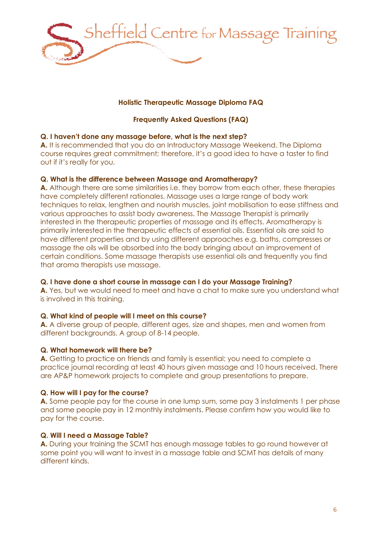

# **Holistic Therapeutic Massage Diploma FAQ**

# **Frequently Asked Questions (FAQ)**

## **Q. I haven't done any massage before, what is the next step?**

**A.** It is recommended that you do an Introductory Massage Weekend. The Diploma course requires great commitment; therefore, it's a good idea to have a taster to find out if it's really for you.

## **Q. What is the difference between Massage and Aromatherapy?**

**A.** Although there are some similarities i.e. they borrow from each other, these therapies have completely different rationales. Massage uses a large range of body work techniques to relax, lengthen and nourish muscles, joint mobilisation to ease stiffness and various approaches to assist body awareness. The Massage Therapist is primarily interested in the therapeutic properties of massage and its effects. Aromatherapy is primarily interested in the therapeutic effects of essential oils. Essential oils are said to have different properties and by using different approaches e.g. baths, compresses or massage the oils will be absorbed into the body bringing about an improvement of certain conditions. Some massage therapists use essential oils and frequently you find that aroma therapists use massage.

# **Q. I have done a short course in massage can I do your Massage Training?**

**A.** Yes, but we would need to meet and have a chat to make sure you understand what is involved in this training.

# **Q. What kind of people will I meet on this course?**

**A.** A diverse group of people, different ages, size and shapes, men and women from different backgrounds. A group of 8-14 people.

#### **Q. What homework will there be?**

**A.** Getting to practice on friends and family is essential; you need to complete a practice journal recording at least 40 hours given massage and 10 hours received. There are AP&P homework projects to complete and group presentations to prepare.

#### **Q. How will I pay for the course?**

**A.** Some people pay for the course in one lump sum, some pay 3 instalments 1 per phase and some people pay in 12 monthly instalments. Please confirm how you would like to pay for the course.

#### **Q. Will I need a Massage Table?**

**A.** During your training the SCMT has enough massage tables to go round however at some point you will want to invest in a massage table and SCMT has details of many different kinds.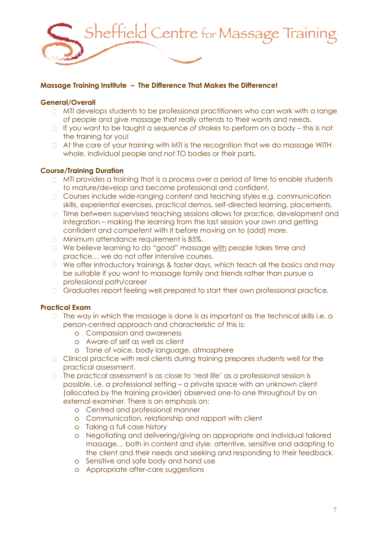

# **Massage Training Institute – The Difference That Makes the Difference!**

## **General/Overall**

- $\Box$  MTI develops students to be professional practitioners who can work with a range of people and give massage that really attends to their wants and needs.
- $\Box$  If you want to be taught a sequence of strokes to perform on a body this is not the training for you!
- At the core of your training with MTI is the recognition that we do massage WITH whole, individual people and not TO bodies or their parts.

## **Course/Training Duration**

- $\Box$  MTI provides a training that is a process over a period of time to enable students to mature/develop and become professional and confident.
- □ Courses include wide-ranging content and teaching styles e.g. communication skills, experiential exercises, practical demos, self-directed learning, placements.
- $\Box$  Time between supervised teaching sessions allows for practice, development and integration – making the learning from the last session your own and getting confident and competent with it before moving on to (add) more.
- **Minimum attendance requirement is 85%.**
- □ We believe learning to do "good" massage with people takes time and practice… we do not offer intensive courses.
- $\Box$  We offer introductory trainings & taster days, which teach all the basics and may be suitable if you want to massage family and friends rather than pursue a professional path/career
- Graduates report feeling well prepared to start their own professional practice.

# **Practical Exam**

- $\Box$  The way in which the massage is done is as important as the technical skills i.e. a person-centred approach and characteristic of this is:
	- o Compassion and awareness
	- o Aware of self as well as client
	- o Tone of voice, body language, atmosphere
- □ Clinical practice with real clients during training prepares students well for the practical assessment.
- $\Box$  The practical assessment is as close to 'real life' as a professional session is possible, i.e. a professional setting – a private space with an unknown client (allocated by the training provider) observed one-to-one throughout by an external examiner. There is an emphasis on:
	- o Centred and professional manner
	- o Communication, relationship and rapport with client
	- o Taking a full case history
	- o Negotiating and delivering/giving an appropriate and individual tailored massage… both in content and style: attentive, sensitive and adapting to the client and their needs and seeking and responding to their feedback.
	- o Sensitive and safe body and hand use
	- o Appropriate after-care suggestions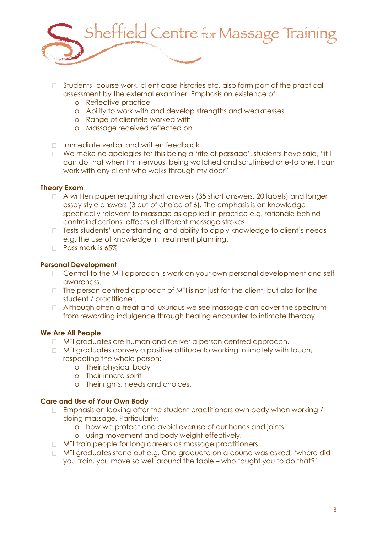

- □ Students' course work, client case histories etc. also form part of the practical assessment by the external examiner. Emphasis on existence of:
	- o Reflective practice
	- o Ability to work with and develop strengths and weaknesses
	- o Range of clientele worked with
	- o Massage received reflected on
- □ Immediate verbal and written feedback
- □ We make no apologies for this being a 'rite of passage', students have said, "if I can do that when I'm nervous, being watched and scrutinised one-to one, I can work with any client who walks through my door"

#### **Theory Exam**

- A written paper requiring short answers (35 short answers, 20 labels) and longer essay style answers (3 out of choice of 6). The emphasis is on knowledge specifically relevant to massage as applied in practice e.g. rationale behind contraindications, effects of different massage strokes.
- □ Tests students' understanding and ability to apply knowledge to client's needs e.g. the use of knowledge in treatment planning.
- **Pass mark is 65%**

# **Personal Development**

- Central to the MTI approach is work on your own personal development and selfawareness.
- $\Box$  The person-centred approach of MTI is not just for the client, but also for the student / practitioner.
- □ Although often a treat and luxurious we see massage can cover the spectrum from rewarding indulgence through healing encounter to intimate therapy.

# **We Are All People**

- **MTI graduates are human and deliver a person centred approach.**
- $\Box$  MTI graduates convey a positive attitude to working intimately with touch, respecting the whole person:
	- o Their physical body
	- o Their innate spirit
	- o Their rights, needs and choices.

# **Care and Use of Your Own Body**

- □ Emphasis on looking after the student practitioners own body when working / doing massage. Particularly:
	- o how we protect and avoid overuse of our hands and joints.
	- o using movement and body weight effectively.
- **INTI train people for long careers as massage practitioners.**
- □ MTI graduates stand out e.g. One graduate on a course was asked, 'where did you train, you move so well around the table – who taught you to do that?'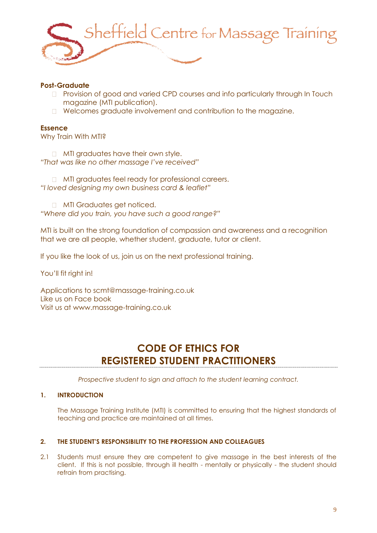

# **Post-Graduate**

- Provision of good and varied CPD courses and info particularly through In Touch magazine (MTI publication).
- Welcomes graduate involvement and contribution to the magazine.

#### **Essence**

Why Train With MTI?

**MTI graduates have their own style.** *"That was like no other massage I've received"*

**MTI graduates feel ready for professional careers.** *"I loved designing my own business card & leaflet"*

**MTI Graduates get noticed.** *"Where did you train, you have such a good range?"*

MTI is built on the strong foundation of compassion and awareness and a recognition that we are all people, whether student, graduate, tutor or client.

If you like the look of us, join us on the next professional training.

You'll fit right in!

Applications to [scmt@massage-training.co.uk](mailto:scmt@massage-training.co.uk) Like us on Face book Visit us at [www.massage-training.co.uk](http://www.massage-training.co.uk/)

# **CODE OF ETHICS FOR REGISTERED STUDENT PRACTITIONERS**

*Prospective student to sign and attach to the student learning contract.*

#### **1. INTRODUCTION**

The Massage Training Institute (MTI) is committed to ensuring that the highest standards of teaching and practice are maintained at all times.

# **2. THE STUDENT'S RESPONSIBILITY TO THE PROFESSION AND COLLEAGUES**

2.1 Students must ensure they are competent to give massage in the best interests of the client. If this is not possible, through ill health - mentally or physically - the student should refrain from practising.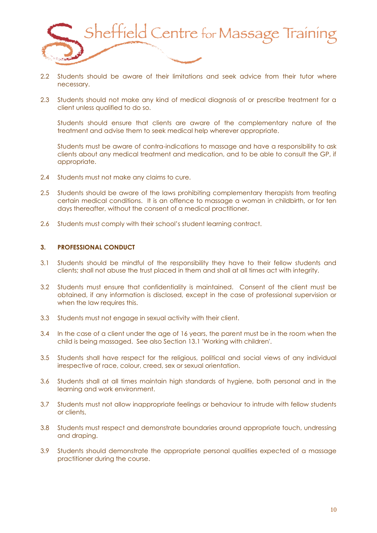

- 2.2 Students should be aware of their limitations and seek advice from their tutor where necessary.
- 2.3 Students should not make any kind of medical diagnosis of or prescribe treatment for a client unless qualified to do so.

Students should ensure that clients are aware of the complementary nature of the treatment and advise them to seek medical help wherever appropriate.

Students must be aware of contra-indications to massage and have a responsibility to ask clients about any medical treatment and medication, and to be able to consult the GP, if appropriate.

- 2.4 Students must not make any claims to cure.
- 2.5 Students should be aware of the laws prohibiting complementary therapists from treating certain medical conditions. It is an offence to massage a woman in childbirth, or for ten days thereafter, without the consent of a medical practitioner.
- 2.6 Students must comply with their school's student learning contract.

#### **3. PROFESSIONAL CONDUCT**

- 3.1 Students should be mindful of the responsibility they have to their fellow students and clients; shall not abuse the trust placed in them and shall at all times act with integrity.
- 3.2 Students must ensure that confidentiality is maintained. Consent of the client must be obtained, if any information is disclosed, except in the case of professional supervision or when the law requires this.
- 3.3 Students must not engage in sexual activity with their client.
- 3.4 In the case of a client under the age of 16 years, the parent must be in the room when the child is being massaged. See also Section 13.1 'Working with children'.
- 3.5 Students shall have respect for the religious, political and social views of any individual irrespective of race, colour, creed, sex or sexual orientation.
- 3.6 Students shall at all times maintain high standards of hygiene, both personal and in the learning and work environment.
- 3.7 Students must not allow inappropriate feelings or behaviour to intrude with fellow students or clients,
- 3.8 Students must respect and demonstrate boundaries around appropriate touch, undressing and draping.
- 3.9 Students should demonstrate the appropriate personal qualities expected of a massage practitioner during the course.